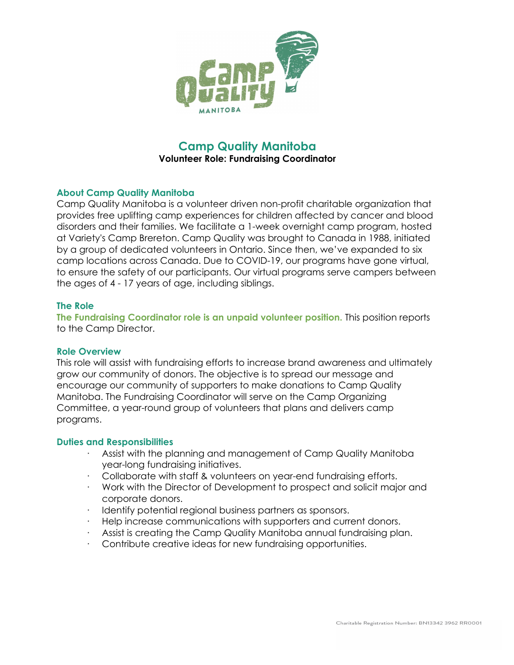

# **Camp Quality Manitoba Volunteer Role: Fundraising Coordinator**

# **About Camp Quality Manitoba**

Camp Quality Manitoba is a volunteer driven non-profit charitable organization that provides free uplifting camp experiences for children affected by cancer and blood disorders and their families. We facilitate a 1-week overnight camp program, hosted at Variety's Camp Brereton. Camp Quality was brought to Canada in 1988, initiated by a group of dedicated volunteers in Ontario. Since then, we've expanded to six camp locations across Canada. Due to COVID-19, our programs have gone virtual, to ensure the safety of our participants. Our virtual programs serve campers between the ages of 4 - 17 years of age, including siblings.

## **The Role**

**The Fundraising Coordinator role is an unpaid volunteer position.** This position reports to the Camp Director.

## **Role Overview**

This role will assist with fundraising efforts to increase brand awareness and ultimately grow our community of donors. The objective is to spread our message and encourage our community of supporters to make donations to Camp Quality Manitoba. The Fundraising Coordinator will serve on the Camp Organizing Committee, a year-round group of volunteers that plans and delivers camp programs.

#### **Duties and Responsibilities**

- Assist with the planning and management of Camp Quality Manitoba year-long fundraising initiatives.
- · Collaborate with staff & volunteers on year-end fundraising efforts.
- · Work with the Director of Development to prospect and solicit major and corporate donors.
- Identify potential regional business partners as sponsors.
- Help increase communications with supporters and current donors.
- Assist is creating the Camp Quality Manitoba annual fundraising plan.
- Contribute creative ideas for new fundraising opportunities.